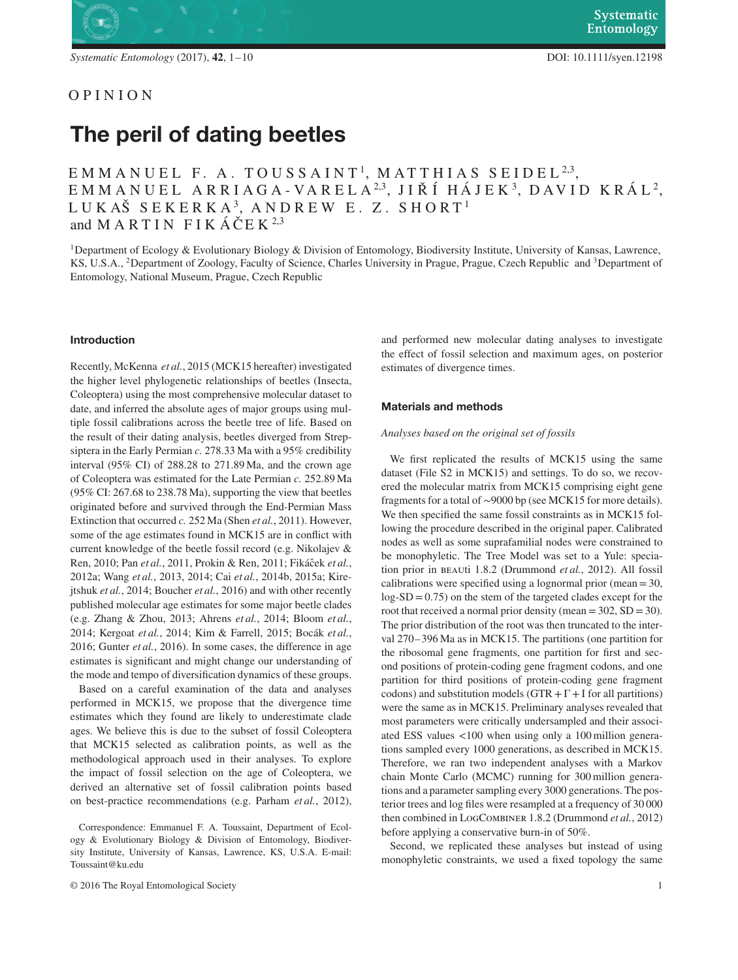# OPINION

# **The peril of dating beetles**

# EMMANUEL F. A. TOUSSAINT 1, MATTH IAS SE IDEL <sup>2</sup>*,*3,  $EMMANDELL AR RIAGA-VARELA<sup>2,3</sup>, JIŘÍ HÁJEK<sup>3</sup>, DAVID KRÁL<sup>2</sup>,$ LUKAŠ SEKERKA<sup>3</sup>, ANDREW E. Z. SHORT<sup>1</sup> and M A R T I N F I K  $\angle$   $\angle$   $\angle$  E K  $^{2,3}$

1Department of Ecology & Evolutionary Biology & Division of Entomology, Biodiversity Institute, University of Kansas, Lawrence, KS, U.S.A., 2Department of Zoology, Faculty of Science, Charles University in Prague, Prague, Czech Republic and 3Department of Entomology, National Museum, Prague, Czech Republic

# **Introduction**

Recently, McKenna *et al.*, 2015 (MCK15 hereafter) investigated the higher level phylogenetic relationships of beetles (Insecta, Coleoptera) using the most comprehensive molecular dataset to date, and inferred the absolute ages of major groups using multiple fossil calibrations across the beetle tree of life. Based on the result of their dating analysis, beetles diverged from Strepsiptera in the Early Permian *c.* 278.33 Ma with a 95% credibility interval (95% CI) of 288.28 to 271.89 Ma, and the crown age of Coleoptera was estimated for the Late Permian *c.* 252.89 Ma (95% CI: 267.68 to 238.78 Ma), supporting the view that beetles originated before and survived through the End-Permian Mass Extinction that occurred *c.* 252 Ma (Shen *et al.*, 2011). However, some of the age estimates found in MCK15 are in conflict with current knowledge of the beetle fossil record (e.g. Nikolajev & Ren, 2010; Pan et al., 2011, Prokin & Ren, 2011; Fikáček et al., 2012a; Wang *et al.*, 2013, 2014; Cai *et al.*, 2014b, 2015a; Kirejtshuk *et al.*, 2014; Boucher *et al.*, 2016) and with other recently published molecular age estimates for some major beetle clades (e.g. Zhang & Zhou, 2013; Ahrens *et al.*, 2014; Bloom *et al.*, 2014; Kergoat *et al.*, 2014; Kim & Farrell, 2015; Bocák *et al.*, 2016; Gunter *et al.*, 2016). In some cases, the difference in age estimates is significant and might change our understanding of the mode and tempo of diversification dynamics of these groups.

Based on a careful examination of the data and analyses performed in MCK15, we propose that the divergence time estimates which they found are likely to underestimate clade ages. We believe this is due to the subset of fossil Coleoptera that MCK15 selected as calibration points, as well as the methodological approach used in their analyses. To explore the impact of fossil selection on the age of Coleoptera, we derived an alternative set of fossil calibration points based on best-practice recommendations (e.g. Parham *et al.*, 2012),

Correspondence: Emmanuel F. A. Toussaint, Department of Ecology & Evolutionary Biology & Division of Entomology, Biodiversity Institute, University of Kansas, Lawrence, KS, U.S.A. E-mail: Toussaint@ku.edu

© 2016 The Royal Entomological Society 1

and performed new molecular dating analyses to investigate the effect of fossil selection and maximum ages, on posterior estimates of divergence times.

#### **Materials and methods**

#### *Analyses based on the original set of fossils*

We first replicated the results of MCK15 using the same dataset (File S2 in MCK15) and settings. To do so, we recovered the molecular matrix from MCK15 comprising eight gene fragments for a total of ∼9000 bp (see MCK15 for more details). We then specified the same fossil constraints as in MCK15 following the procedure described in the original paper. Calibrated nodes as well as some suprafamilial nodes were constrained to be monophyletic. The Tree Model was set to a Yule: speciation prior in beauti 1.8.2 (Drummond *et al.*, 2012). All fossil calibrations were specified using a lognormal prior (mean  $=30$ ,  $log-SD = 0.75$ ) on the stem of the targeted clades except for the root that received a normal prior density (mean =  $302$ , SD =  $30$ ). The prior distribution of the root was then truncated to the interval 270–396 Ma as in MCK15. The partitions (one partition for the ribosomal gene fragments, one partition for first and second positions of protein-coding gene fragment codons, and one partition for third positions of protein-coding gene fragment codons) and substitution models ( $GTR + \Gamma + I$  for all partitions) were the same as in MCK15. Preliminary analyses revealed that most parameters were critically undersampled and their associated ESS values *<*100 when using only a 100 million generations sampled every 1000 generations, as described in MCK15. Therefore, we ran two independent analyses with a Markov chain Monte Carlo (MCMC) running for 300 million generations and a parameter sampling every 3000 generations. The posterior trees and log files were resampled at a frequency of 30 000 then combined in LogCombiner 1.8.2 (Drummond *et al.*, 2012) before applying a conservative burn-in of 50%.

Second, we replicated these analyses but instead of using monophyletic constraints, we used a fixed topology the same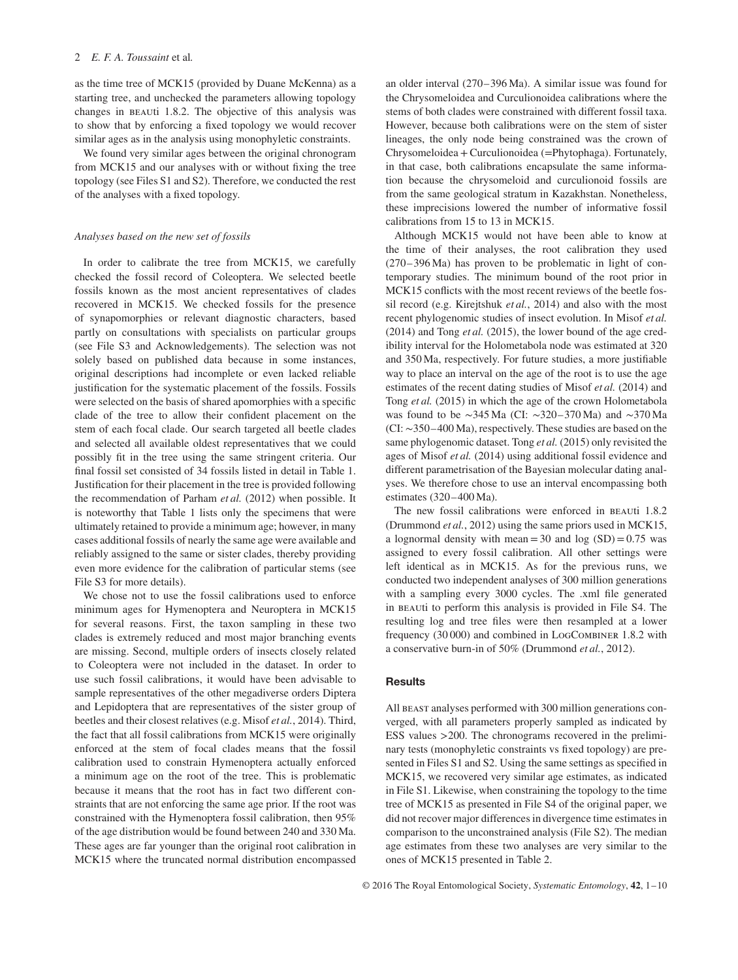as the time tree of MCK15 (provided by Duane McKenna) as a starting tree, and unchecked the parameters allowing topology changes in beauti 1.8.2. The objective of this analysis was to show that by enforcing a fixed topology we would recover similar ages as in the analysis using monophyletic constraints.

We found very similar ages between the original chronogram from MCK15 and our analyses with or without fixing the tree topology (see Files S1 and S2). Therefore, we conducted the rest of the analyses with a fixed topology.

#### *Analyses based on the new set of fossils*

In order to calibrate the tree from MCK15, we carefully checked the fossil record of Coleoptera. We selected beetle fossils known as the most ancient representatives of clades recovered in MCK15. We checked fossils for the presence of synapomorphies or relevant diagnostic characters, based partly on consultations with specialists on particular groups (see File S3 and Acknowledgements). The selection was not solely based on published data because in some instances, original descriptions had incomplete or even lacked reliable justification for the systematic placement of the fossils. Fossils were selected on the basis of shared apomorphies with a specific clade of the tree to allow their confident placement on the stem of each focal clade. Our search targeted all beetle clades and selected all available oldest representatives that we could possibly fit in the tree using the same stringent criteria. Our final fossil set consisted of 34 fossils listed in detail in Table 1. Justification for their placement in the tree is provided following the recommendation of Parham *et al.* (2012) when possible. It is noteworthy that Table 1 lists only the specimens that were ultimately retained to provide a minimum age; however, in many cases additional fossils of nearly the same age were available and reliably assigned to the same or sister clades, thereby providing even more evidence for the calibration of particular stems (see File S3 for more details).

We chose not to use the fossil calibrations used to enforce minimum ages for Hymenoptera and Neuroptera in MCK15 for several reasons. First, the taxon sampling in these two clades is extremely reduced and most major branching events are missing. Second, multiple orders of insects closely related to Coleoptera were not included in the dataset. In order to use such fossil calibrations, it would have been advisable to sample representatives of the other megadiverse orders Diptera and Lepidoptera that are representatives of the sister group of beetles and their closest relatives (e.g. Misof *et al.*, 2014). Third, the fact that all fossil calibrations from MCK15 were originally enforced at the stem of focal clades means that the fossil calibration used to constrain Hymenoptera actually enforced a minimum age on the root of the tree. This is problematic because it means that the root has in fact two different constraints that are not enforcing the same age prior. If the root was constrained with the Hymenoptera fossil calibration, then 95% of the age distribution would be found between 240 and 330 Ma. These ages are far younger than the original root calibration in MCK15 where the truncated normal distribution encompassed an older interval (270–396 Ma). A similar issue was found for the Chrysomeloidea and Curculionoidea calibrations where the stems of both clades were constrained with different fossil taxa. However, because both calibrations were on the stem of sister lineages, the only node being constrained was the crown of Chrysomeloidea+Curculionoidea (=Phytophaga). Fortunately, in that case, both calibrations encapsulate the same information because the chrysomeloid and curculionoid fossils are from the same geological stratum in Kazakhstan. Nonetheless, these imprecisions lowered the number of informative fossil calibrations from 15 to 13 in MCK15.

Although MCK15 would not have been able to know at the time of their analyses, the root calibration they used (270–396 Ma) has proven to be problematic in light of contemporary studies. The minimum bound of the root prior in MCK15 conflicts with the most recent reviews of the beetle fossil record (e.g. Kirejtshuk *et al.*, 2014) and also with the most recent phylogenomic studies of insect evolution. In Misof *et al.* (2014) and Tong *et al.* (2015), the lower bound of the age credibility interval for the Holometabola node was estimated at 320 and 350 Ma, respectively. For future studies, a more justifiable way to place an interval on the age of the root is to use the age estimates of the recent dating studies of Misof *et al.* (2014) and Tong *et al.* (2015) in which the age of the crown Holometabola was found to be ∼345 Ma (CI: ∼320–370 Ma) and ∼370 Ma (CI: ∼350–400 Ma), respectively. These studies are based on the same phylogenomic dataset. Tong *et al.* (2015) only revisited the ages of Misof *et al.* (2014) using additional fossil evidence and different parametrisation of the Bayesian molecular dating analyses. We therefore chose to use an interval encompassing both estimates (320–400 Ma).

The new fossil calibrations were enforced in beauti 1.8.2 (Drummond *et al.*, 2012) using the same priors used in MCK15, a lognormal density with mean = 30 and log  $(SD) = 0.75$  was assigned to every fossil calibration. All other settings were left identical as in MCK15. As for the previous runs, we conducted two independent analyses of 300 million generations with a sampling every 3000 cycles. The .xml file generated in beauti to perform this analysis is provided in File S4. The resulting log and tree files were then resampled at a lower frequency (30 000) and combined in LogCombiner 1.8.2 with a conservative burn-in of 50% (Drummond *et al.*, 2012).

## **Results**

All BEAST analyses performed with 300 million generations converged, with all parameters properly sampled as indicated by ESS values *>*200. The chronograms recovered in the preliminary tests (monophyletic constraints vs fixed topology) are presented in Files S1 and S2. Using the same settings as specified in MCK15, we recovered very similar age estimates, as indicated in File S1. Likewise, when constraining the topology to the time tree of MCK15 as presented in File S4 of the original paper, we did not recover major differences in divergence time estimates in comparison to the unconstrained analysis (File S2). The median age estimates from these two analyses are very similar to the ones of MCK15 presented in Table 2.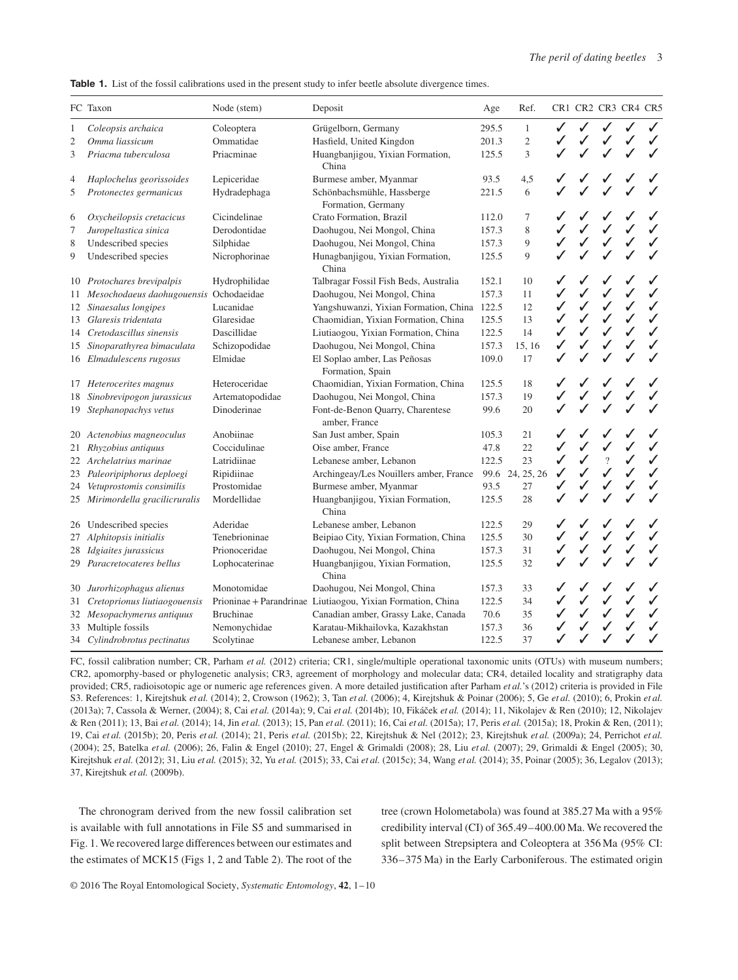|  |  |  |  | <b>Table 1.</b> List of the fossil calibrations used in the present study to infer beetle absolute divergence times. |  |  |  |  |  |  |  |  |  |
|--|--|--|--|----------------------------------------------------------------------------------------------------------------------|--|--|--|--|--|--|--|--|--|
|--|--|--|--|----------------------------------------------------------------------------------------------------------------------|--|--|--|--|--|--|--|--|--|

|                | FC Taxon                                  | Node (stem)      | Deposit                                                     | Age   | Ref.            |              | CR1 CR2 CR3 CR4 CR5 |                |              |              |
|----------------|-------------------------------------------|------------------|-------------------------------------------------------------|-------|-----------------|--------------|---------------------|----------------|--------------|--------------|
| $\,1$          | Coleopsis archaica                        | Coleoptera       | Grügelborn, Germany                                         | 295.5 | $\mathbf{1}$    | ✓            |                     |                | ✓            | $\checkmark$ |
| $\overline{c}$ | Omma liassicum                            | Ommatidae        | Hasfield, United Kingdon                                    | 201.3 | $\mathfrak{2}$  |              |                     |                |              |              |
| 3              | Priacma tuberculosa                       | Priacminae       | Huangbanjigou, Yixian Formation,<br>China                   | 125.5 | 3               | $\checkmark$ |                     |                |              |              |
| 4              | Haplochelus georissoides                  | Lepiceridae      | Burmese amber, Myanmar                                      | 93.5  | 4,5             |              |                     |                |              |              |
| 5              | Protonectes germanicus                    | Hydradephaga     | Schönbachsmühle, Hassberge<br>Formation, Germany            | 221.5 | 6               |              |                     |                |              |              |
| 6              | Oxycheilopsis cretacicus                  | Cicindelinae     | Crato Formation, Brazil                                     | 112.0 | 7               |              |                     |                | ✓            |              |
| $\tau$         | Juropeltastica sinica                     | Derodontidae     | Daohugou, Nei Mongol, China                                 | 157.3 | 8               |              |                     |                |              |              |
| 8              | Undescribed species                       | Silphidae        | Daohugou, Nei Mongol, China                                 | 157.3 | 9               | ✓            |                     |                |              |              |
| 9              | Undescribed species                       | Nicrophorinae    | Hunagbanjigou, Yixian Formation,<br>China                   | 125.5 | 9               |              |                     |                |              |              |
|                | 10 Protochares brevipalpis                | Hydrophilidae    | Talbragar Fossil Fish Beds, Australia                       | 152.1 | 10              |              |                     |                |              |              |
|                | 11 Mesochodaeus daohugouensis Ochodaeidae |                  | Daohugou, Nei Mongol, China                                 | 157.3 | 11              | ✓            |                     |                |              | ✓            |
|                | 12 Sinaesalus longipes                    | Lucanidae        | Yangshuwanzi, Yixian Formation, China                       | 122.5 | 12              | ✓            | ✓                   | ✓              | ✓            | $\checkmark$ |
|                | 13 Glaresis tridentata                    | Glaresidae       | Chaomidian, Yixian Formation, China                         | 125.5 | 13              | ✓            | ✓                   | ✓              | ✓            | $\checkmark$ |
|                | 14 Cretodascillus sinensis                | Dascillidae      | Liutiaogou, Yixian Formation, China                         | 122.5 | 14              | ✓            |                     |                | ✓            | $\checkmark$ |
|                | 15 Sinoparathyrea bimaculata              | Schizopodidae    | Daohugou, Nei Mongol, China                                 | 157.3 | 15, 16          | $\checkmark$ | J                   |                |              | ✓            |
|                | 16 Elmadulescens rugosus                  | Elmidae          | El Soplao amber, Las Peñosas<br>Formation, Spain            | 109.0 | 17              |              |                     |                |              | ✓            |
|                | 17 Heterocerites magnus                   | Heteroceridae    | Chaomidian, Yixian Formation, China                         | 125.5 | 18              |              |                     |                |              |              |
| 18             | Sinobrevipogon jurassicus                 | Artematopodidae  | Daohugou, Nei Mongol, China                                 | 157.3 | 19              |              |                     |                |              |              |
|                | 19 Stephanopachys vetus                   | Dinoderinae      | Font-de-Benon Quarry, Charentese<br>amber, France           | 99.6  | 20              |              |                     |                |              |              |
|                | 20 Actenobius magneoculus                 | Anobiinae        | San Just amber, Spain                                       | 105.3 | 21              | ✓            |                     |                |              |              |
| 21             | Rhyzobius antiquus                        | Coccidulinae     | Oise amber, France                                          | 47.8  | 22              | ✓            | $\checkmark$        | $\checkmark$   | ✓            | $\checkmark$ |
|                | 22 Archelatrius marinae                   | Latridiinae      | Lebanese amber, Lebanon                                     | 122.5 | 23              | ✓            | ✓                   | $\overline{?}$ | ✓            | $\checkmark$ |
| 23             | Paleoripiphorus deploegi                  | Ripidiinae       | Archingeay/Les Nouillers amber, France                      |       | 99.6 24, 25, 26 | ✓            | $\checkmark$        |                | $\checkmark$ | $\checkmark$ |
| 24             | Vetuprostomis consimilis                  | Prostomidae      | Burmese amber, Myanmar                                      | 93.5  | 27              | ✓            | J                   |                |              | ✓            |
|                | 25 Mirimordella gracilicruralis           | Mordellidae      | Huangbanjigou, Yixian Formation,<br>China                   | 125.5 | 28              |              |                     |                |              |              |
| 26             | Undescribed species                       | Aderidae         | Lebanese amber, Lebanon                                     | 122.5 | 29              |              |                     |                |              |              |
| 27             | Alphitopsis initialis                     | Tenebrioninae    | Beipiao City, Yixian Formation, China                       | 125.5 | 30              | ✓            |                     |                | ✓            | ✓            |
|                | 28 Idgiaites jurassicus                   | Prionoceridae    | Daohugou, Nei Mongol, China                                 | 157.3 | 31              | ✓            | $\checkmark$        | ✓              | ✓            | ✓            |
|                | 29 Paracretocateres bellus                | Lophocaterinae   | Huangbanjigou, Yixian Formation,<br>China                   | 125.5 | 32              |              |                     |                |              |              |
| 30             | Jurorhizophagus alienus                   | Monotomidae      | Daohugou, Nei Mongol, China                                 | 157.3 | 33              | ✓            |                     |                | ✓            |              |
| 31             | Cretoprionus liutiaogouensis              |                  | Prioninae + Parandrinae Liutiaogou, Yixian Formation, China | 122.5 | 34              | $\checkmark$ | ✓                   | ✓              | ✓            | ✓            |
| 32             | Mesopachymerus antiquus                   | <b>Bruchinae</b> | Canadian amber, Grassy Lake, Canada                         | 70.6  | 35              |              |                     |                |              | ✓            |
| 33             | Multiple fossils                          | Nemonychidae     | Karatau-Mikhailovka, Kazakhstan                             | 157.3 | 36              |              |                     |                |              | ✓            |
|                | 34 Cylindrobrotus pectinatus              | Scolytinae       | Lebanese amber, Lebanon                                     | 122.5 | 37              |              | $\checkmark$        | ✓              | ✓            | $\checkmark$ |

FC, fossil calibration number; CR, Parham *et al.* (2012) criteria; CR1, single/multiple operational taxonomic units (OTUs) with museum numbers; CR2, apomorphy-based or phylogenetic analysis; CR3, agreement of morphology and molecular data; CR4, detailed locality and stratigraphy data provided; CR5, radioisotopic age or numeric age references given. A more detailed justification after Parham *et al.*'s (2012) criteria is provided in File S3. References: 1, Kirejtshuk *et al.* (2014); 2, Crowson (1962); 3, Tan *et al.* (2006); 4, Kirejtshuk & Poinar (2006); 5, Ge *et al.* (2010); 6, Prokin *et al.* (2013a); 7, Cassola & Werner, (2004); 8, Cai *et al.* (2014a); 9, Cai *et al.* (2014b); 10, Fikáček et al. (2014); 11, Nikolajev & Ren (2010); 12, Nikolajev & Ren (2011); 13, Bai *et al.* (2014); 14, Jin *et al.* (2013); 15, Pan *et al.* (2011); 16, Cai *et al.* (2015a); 17, Peris *et al.* (2015a); 18, Prokin & Ren, (2011); 19, Cai *et al.* (2015b); 20, Peris *et al.* (2014); 21, Peris *et al.* (2015b); 22, Kirejtshuk & Nel (2012); 23, Kirejtshuk *et al.* (2009a); 24, Perrichot *et al.* (2004); 25, Batelka *et al.* (2006); 26, Falin & Engel (2010); 27, Engel & Grimaldi (2008); 28, Liu *et al.* (2007); 29, Grimaldi & Engel (2005); 30, Kirejtshuk *et al.* (2012); 31, Liu *et al.* (2015); 32, Yu *et al.* (2015); 33, Cai *et al.* (2015c); 34, Wang *et al.* (2014); 35, Poinar (2005); 36, Legalov (2013); 37, Kirejtshuk *et al.* (2009b).

The chronogram derived from the new fossil calibration set is available with full annotations in File S5 and summarised in Fig. 1. We recovered large differences between our estimates and the estimates of MCK15 (Figs 1, 2 and Table 2). The root of the tree (crown Holometabola) was found at 385.27 Ma with a 95% credibility interval (CI) of 365.49–400.00 Ma. We recovered the split between Strepsiptera and Coleoptera at 356 Ma (95% CI: 336–375 Ma) in the Early Carboniferous. The estimated origin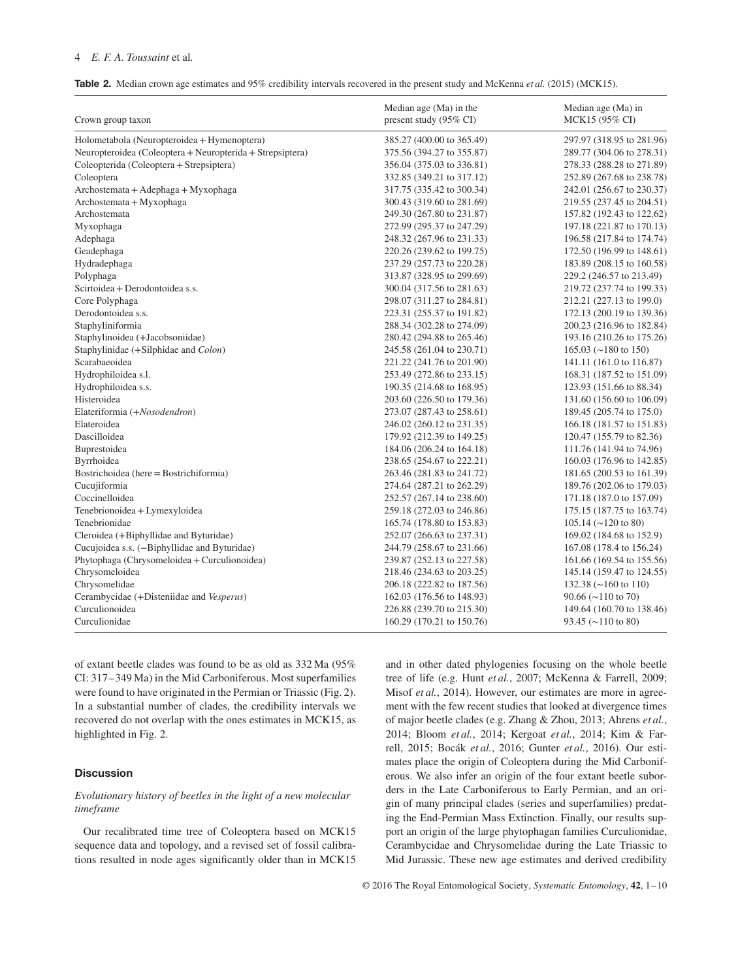# 4 *E. F. A. Toussaint* et al*.*

| <b>Table 2.</b> Median crown age estimates and 95% credibility intervals recovered in the present study and McKenna <i>et al.</i> (2015) (MCK15). |  |  |  |  |
|---------------------------------------------------------------------------------------------------------------------------------------------------|--|--|--|--|
|                                                                                                                                                   |  |  |  |  |

| Crown group taxon                                         | Median age (Ma) in the<br>present study (95% CI) | Median age (Ma) in<br>MCK15 (95% CI)            |
|-----------------------------------------------------------|--------------------------------------------------|-------------------------------------------------|
| Holometabola (Neuropteroidea + Hymenoptera)               | 385.27 (400.00 to 365.49)                        | 297.97 (318.95 to 281.96)                       |
| Neuropteroidea (Coleoptera + Neuropterida + Strepsiptera) | 375.56 (394.27 to 355.87)                        | 289.77 (304.06 to 278.31)                       |
| Coleopterida (Coleoptera + Strepsiptera)                  | 356.04 (375.03 to 336.81)                        | 278.33 (288.28 to 271.89)                       |
| Coleoptera                                                | 332.85 (349.21 to 317.12)                        | 252.89 (267.68 to 238.78)                       |
| Archostemata + Adephaga + Myxophaga                       | 317.75 (335.42 to 300.34)                        | 242.01 (256.67 to 230.37)                       |
| Archostemata + Myxophaga                                  | 300.43 (319.60 to 281.69)                        | 219.55 (237.45 to 204.51)                       |
| Archostemata                                              | 249.30 (267.80 to 231.87)                        | 157.82 (192.43 to 122.62)                       |
| Myxophaga                                                 | 272.99 (295.37 to 247.29)                        | 197.18 (221.87 to 170.13)                       |
| Adephaga                                                  | 248.32 (267.96 to 231.33)                        | 196.58 (217.84 to 174.74)                       |
| Geadephaga                                                | 220.26 (239.62 to 199.75)                        | 172.50 (196.99 to 148.61)                       |
| Hydradephaga                                              | 237.29 (257.73 to 220.28)                        | 183.89 (208.15 to 160.58)                       |
| Polyphaga                                                 | 313.87 (328.95 to 299.69)                        | 229.2 (246.57 to 213.49)                        |
| Scirtoidea + Derodontoidea s.s.                           | 300.04 (317.56 to 281.63)                        | 219.72 (237.74 to 199.33)                       |
| Core Polyphaga                                            | 298.07 (311.27 to 284.81)                        | 212.21 (227.13 to 199.0)                        |
| Derodontoidea s.s.                                        | 223.31 (255.37 to 191.82)                        | 172.13 (200.19 to 139.36)                       |
| Staphyliniformia                                          | 288.34 (302.28 to 274.09)                        | 200.23 (216.96 to 182.84)                       |
| Staphylinoidea (+Jacobsoniidae)                           | 280.42 (294.88 to 265.46)                        | 193.16 (210.26 to 175.26)                       |
| Staphylinidae (+Silphidae and Colon)                      | 245.58 (261.04 to 230.71)                        | 165.03 ( $\sim$ 180 to 150)                     |
| Scarabaeoidea                                             | 221.22 (241.76 to 201.90)                        | 141.11 (161.0 to 116.87)                        |
| Hydrophiloidea s.l.                                       | 253.49 (272.86 to 233.15)                        | 168.31 (187.52 to 151.09)                       |
| Hydrophiloidea s.s.                                       | 190.35 (214.68 to 168.95)                        | 123.93 (151.66 to 88.34)                        |
| Histeroidea                                               | 203.60 (226.50 to 179.36)                        | 131.60 (156.60 to 106.09)                       |
| Elateriformia (+Nosodendron)                              | 273.07 (287.43 to 258.61)                        | 189.45 (205.74 to 175.0)                        |
| Elateroidea                                               | 246.02 (260.12 to 231.35)                        | 166.18 (181.57 to 151.83)                       |
| Dascilloidea                                              | 179.92 (212.39 to 149.25)                        | 120.47 (155.79 to 82.36)                        |
| Buprestoidea                                              | 184.06 (206.24 to 164.18)                        | 111.76 (141.94 to 74.96)                        |
| Byrrhoidea                                                | 238.65 (254.67 to 222.21)                        | 160.03 (176.96 to 142.85)                       |
| Bostrichoidea (here = Bostrichiformia)                    | 263.46 (281.83 to 241.72)                        | 181.65 (200.53 to 161.39)                       |
| Cucujiformia                                              | 274.64 (287.21 to 262.29)                        | 189.76 (202.06 to 179.03)                       |
| Coccinelloidea                                            | 252.57 (267.14 to 238.60)                        | 171.18 (187.0 to 157.09)                        |
| Tenebrionoidea + Lymexyloidea                             | 259.18 (272.03 to 246.86)                        | 175.15 (187.75 to 163.74)                       |
| Tenebrionidae                                             | 165.74 (178.80 to 153.83)                        | $105.14 \left( \sim 120 \text{ to } 80 \right)$ |
| Cleroidea (+Biphyllidae and Byturidae)                    | 252.07 (266.63 to 237.31)                        | 169.02 (184.68 to 152.9)                        |
| Cucujoidea s.s. (-Biphyllidae and Byturidae)              | 244.79 (258.67 to 231.66)                        | 167.08 (178.4 to 156.24)                        |
| Phytophaga (Chrysomeloidea + Curculionoidea)              | 239.87 (252.13 to 227.58)                        | 161.66 (169.54 to 155.56)                       |
| Chrysomeloidea                                            | 218.46 (234.63 to 203.25)                        | 145.14 (159.47 to 124.55)                       |
| Chrysomelidae                                             | 206.18 (222.82 to 187.56)                        | 132.38 ( $\sim$ 160 to 110)                     |
| Cerambycidae (+Disteniidae and Vesperus)                  | 162.03 (176.56 to 148.93)                        | $90.66 \ (\sim 110 \text{ to } 70)$             |
| Curculionoidea                                            | 226.88 (239.70 to 215.30)                        | 149.64 (160.70 to 138.46)                       |
| Curculionidae                                             | 160.29 (170.21 to 150.76)                        | 93.45 ( $\sim$ 110 to 80)                       |

of extant beetle clades was found to be as old as 332 Ma (95% CI: 317–349 Ma) in the Mid Carboniferous. Most superfamilies were found to have originated in the Permian or Triassic (Fig. 2). In a substantial number of clades, the credibility intervals we recovered do not overlap with the ones estimates in MCK15, as highlighted in Fig. 2.

# **Discussion**

# *Evolutionary history of beetles in the light of a new molecular timeframe*

Our recalibrated time tree of Coleoptera based on MCK15 sequence data and topology, and a revised set of fossil calibrations resulted in node ages significantly older than in MCK15 and in other dated phylogenies focusing on the whole beetle tree of life (e.g. Hunt *et al.*, 2007; McKenna & Farrell, 2009; Misof *et al.*, 2014). However, our estimates are more in agreement with the few recent studies that looked at divergence times of major beetle clades (e.g. Zhang & Zhou, 2013; Ahrens *et al.*, 2014; Bloom *et al.*, 2014; Kergoat *et al.*, 2014; Kim & Farrell, 2015; Bocák *et al.*, 2016; Gunter *et al.*, 2016). Our estimates place the origin of Coleoptera during the Mid Carboniferous. We also infer an origin of the four extant beetle suborders in the Late Carboniferous to Early Permian, and an origin of many principal clades (series and superfamilies) predating the End-Permian Mass Extinction. Finally, our results support an origin of the large phytophagan families Curculionidae, Cerambycidae and Chrysomelidae during the Late Triassic to Mid Jurassic. These new age estimates and derived credibility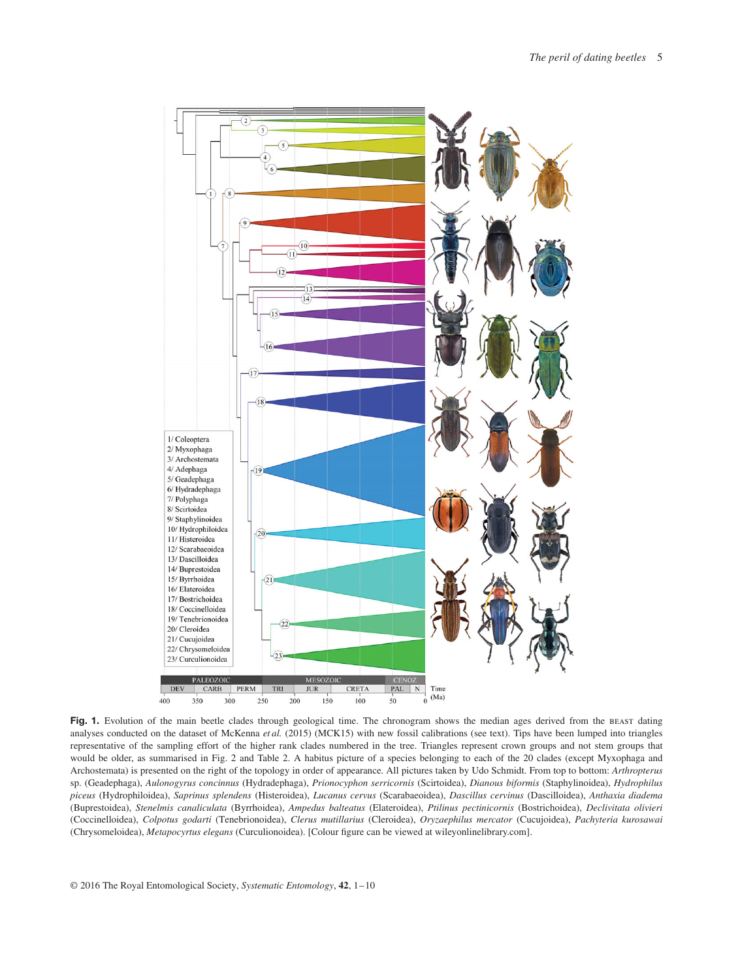

Fig. 1. Evolution of the main beetle clades through geological time. The chronogram shows the median ages derived from the BEAST dating analyses conducted on the dataset of McKenna *et al.* (2015) (MCK15) with new fossil calibrations (see text). Tips have been lumped into triangles representative of the sampling effort of the higher rank clades numbered in the tree. Triangles represent crown groups and not stem groups that would be older, as summarised in Fig. 2 and Table 2. A habitus picture of a species belonging to each of the 20 clades (except Myxophaga and Archostemata) is presented on the right of the topology in order of appearance. All pictures taken by Udo Schmidt. From top to bottom: *Arthropterus* sp. (Geadephaga), *Aulonogyrus concinnus* (Hydradephaga), *Prionocyphon serricornis* (Scirtoidea), *Dianous biformis* (Staphylinoidea), *Hydrophilus piceus* (Hydrophiloidea), *Saprinus splendens* (Histeroidea), *Lucanus cervus* (Scarabaeoidea), *Dascillus cervinus* (Dascilloidea), *Anthaxia diadema* (Buprestoidea), *Stenelmis canaliculata* (Byrrhoidea), *Ampedus balteatus* (Elateroidea), *Ptilinus pectinicornis* (Bostrichoidea), *Declivitata olivieri* (Coccinelloidea), *Colpotus godarti* (Tenebrionoidea), *Clerus mutillarius* (Cleroidea), *Oryzaephilus mercator* (Cucujoidea), *Pachyteria kurosawai* (Chrysomeloidea), *Metapocyrtus elegans* (Curculionoidea). [Colour figure can be viewed at wileyonlinelibrary.com].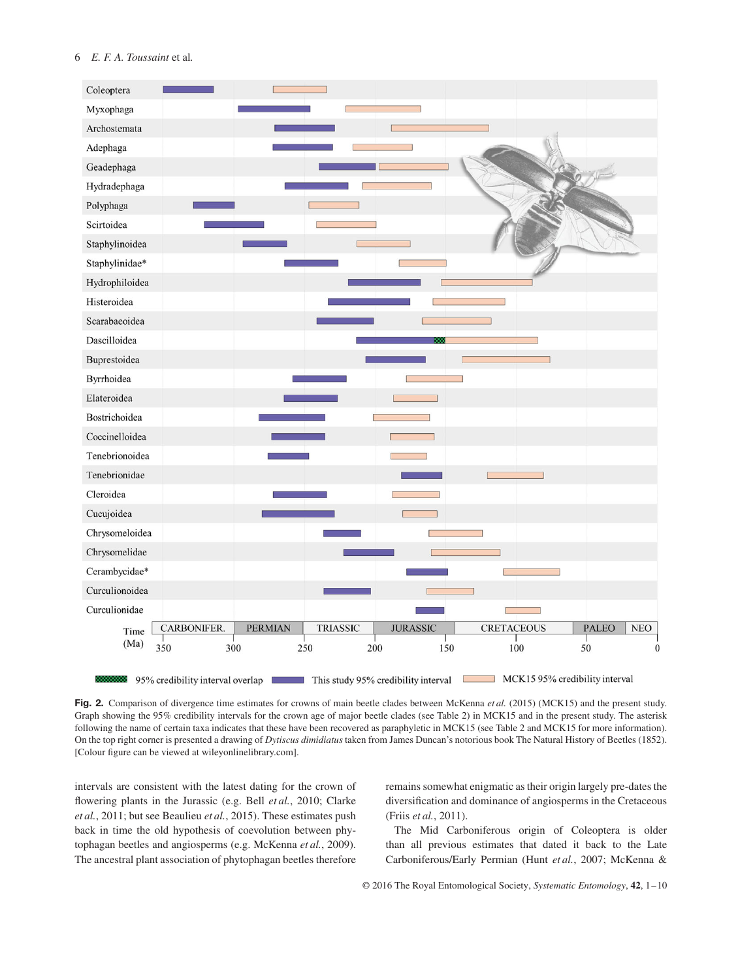

**Fig. 2.** Comparison of divergence time estimates for crowns of main beetle clades between McKenna *et al.* (2015) (MCK15) and the present study. Graph showing the 95% credibility intervals for the crown age of major beetle clades (see Table 2) in MCK15 and in the present study. The asterisk following the name of certain taxa indicates that these have been recovered as paraphyletic in MCK15 (see Table 2 and MCK15 for more information). On the top right corner is presented a drawing of *Dytiscus dimidiatus* taken from James Duncan's notorious book The Natural History of Beetles (1852). [Colour figure can be viewed at wileyonlinelibrary.com].

intervals are consistent with the latest dating for the crown of flowering plants in the Jurassic (e.g. Bell *et al.*, 2010; Clarke *et al.*, 2011; but see Beaulieu *et al.*, 2015). These estimates push back in time the old hypothesis of coevolution between phytophagan beetles and angiosperms (e.g. McKenna *et al.*, 2009). The ancestral plant association of phytophagan beetles therefore remains somewhat enigmatic as their origin largely pre-dates the diversification and dominance of angiosperms in the Cretaceous (Friis *et al.*, 2011).

The Mid Carboniferous origin of Coleoptera is older than all previous estimates that dated it back to the Late Carboniferous/Early Permian (Hunt *et al.*, 2007; McKenna &

© 2016 The Royal Entomological Society, *Systematic Entomology*, **42**, 1–10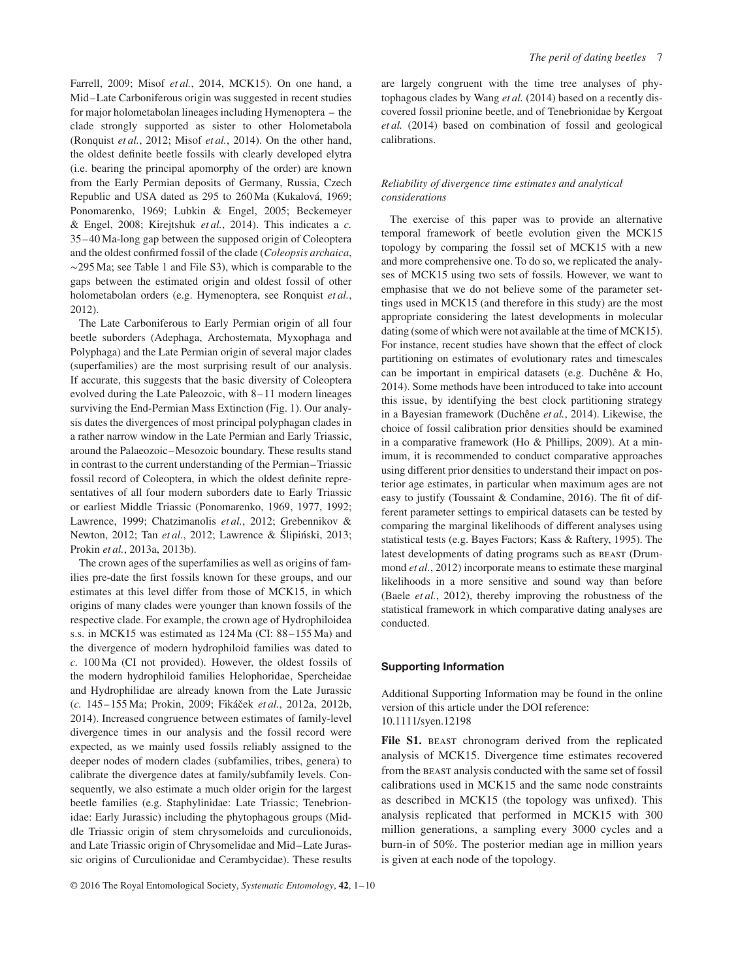Farrell, 2009; Misof *et al.*, 2014, MCK15). On one hand, a Mid–Late Carboniferous origin was suggested in recent studies for major holometabolan lineages including Hymenoptera – the clade strongly supported as sister to other Holometabola (Ronquist *et al.*, 2012; Misof *et al.*, 2014). On the other hand, the oldest definite beetle fossils with clearly developed elytra (i.e. bearing the principal apomorphy of the order) are known from the Early Permian deposits of Germany, Russia, Czech Republic and USA dated as 295 to 260 Ma (Kukalová, 1969; Ponomarenko, 1969; Lubkin & Engel, 2005; Beckemeyer & Engel, 2008; Kirejtshuk *et al.*, 2014). This indicates a *c.* 35–40 Ma-long gap between the supposed origin of Coleoptera and the oldest confirmed fossil of the clade (*Coleopsis archaica*, ∼295 Ma; see Table 1 and File S3), which is comparable to the gaps between the estimated origin and oldest fossil of other holometabolan orders (e.g. Hymenoptera, see Ronquist *et al.*, 2012).

The Late Carboniferous to Early Permian origin of all four beetle suborders (Adephaga, Archostemata, Myxophaga and Polyphaga) and the Late Permian origin of several major clades (superfamilies) are the most surprising result of our analysis. If accurate, this suggests that the basic diversity of Coleoptera evolved during the Late Paleozoic, with 8–11 modern lineages surviving the End-Permian Mass Extinction (Fig. 1). Our analysis dates the divergences of most principal polyphagan clades in a rather narrow window in the Late Permian and Early Triassic, around the Palaeozoic–Mesozoic boundary. These results stand in contrast to the current understanding of the Permian–Triassic fossil record of Coleoptera, in which the oldest definite representatives of all four modern suborders date to Early Triassic or earliest Middle Triassic (Ponomarenko, 1969, 1977, 1992; Lawrence, 1999; Chatzimanolis *et al.*, 2012; Grebennikov & Newton, 2012; Tan et al., 2012; Lawrence & Slipiński, 2013; Prokin *et al.*, 2013a, 2013b).

The crown ages of the superfamilies as well as origins of families pre-date the first fossils known for these groups, and our estimates at this level differ from those of MCK15, in which origins of many clades were younger than known fossils of the respective clade. For example, the crown age of Hydrophiloidea s.s. in MCK15 was estimated as 124 Ma (CI: 88–155 Ma) and the divergence of modern hydrophiloid families was dated to *c.* 100 Ma (CI not provided). However, the oldest fossils of the modern hydrophiloid families Helophoridae, Spercheidae and Hydrophilidae are already known from the Late Jurassic (c. 145–155 Ma; Prokin, 2009; Fikáček et al., 2012a, 2012b, 2014). Increased congruence between estimates of family-level divergence times in our analysis and the fossil record were expected, as we mainly used fossils reliably assigned to the deeper nodes of modern clades (subfamilies, tribes, genera) to calibrate the divergence dates at family/subfamily levels. Consequently, we also estimate a much older origin for the largest beetle families (e.g. Staphylinidae: Late Triassic; Tenebrionidae: Early Jurassic) including the phytophagous groups (Middle Triassic origin of stem chrysomeloids and curculionoids, and Late Triassic origin of Chrysomelidae and Mid–Late Jurassic origins of Curculionidae and Cerambycidae). These results are largely congruent with the time tree analyses of phytophagous clades by Wang *et al.* (2014) based on a recently discovered fossil prionine beetle, and of Tenebrionidae by Kergoat *et al.* (2014) based on combination of fossil and geological calibrations.

# *Reliability of divergence time estimates and analytical considerations*

The exercise of this paper was to provide an alternative temporal framework of beetle evolution given the MCK15 topology by comparing the fossil set of MCK15 with a new and more comprehensive one. To do so, we replicated the analyses of MCK15 using two sets of fossils. However, we want to emphasise that we do not believe some of the parameter settings used in MCK15 (and therefore in this study) are the most appropriate considering the latest developments in molecular dating (some of which were not available at the time of MCK15). For instance, recent studies have shown that the effect of clock partitioning on estimates of evolutionary rates and timescales can be important in empirical datasets (e.g. Duchêne & Ho, 2014). Some methods have been introduced to take into account this issue, by identifying the best clock partitioning strategy in a Bayesian framework (Duchêne *et al.*, 2014). Likewise, the choice of fossil calibration prior densities should be examined in a comparative framework (Ho & Phillips, 2009). At a minimum, it is recommended to conduct comparative approaches using different prior densities to understand their impact on posterior age estimates, in particular when maximum ages are not easy to justify (Toussaint & Condamine, 2016). The fit of different parameter settings to empirical datasets can be tested by comparing the marginal likelihoods of different analyses using statistical tests (e.g. Bayes Factors; Kass & Raftery, 1995). The latest developments of dating programs such as beast (Drummond *et al.*, 2012) incorporate means to estimate these marginal likelihoods in a more sensitive and sound way than before (Baele *et al.*, 2012), thereby improving the robustness of the statistical framework in which comparative dating analyses are conducted.

## **Supporting Information**

Additional Supporting Information may be found in the online version of this article under the DOI reference: 10.1111/syen.12198

File S1. BEAST chronogram derived from the replicated analysis of MCK15. Divergence time estimates recovered from the beast analysis conducted with the same set of fossil calibrations used in MCK15 and the same node constraints as described in MCK15 (the topology was unfixed). This analysis replicated that performed in MCK15 with 300 million generations, a sampling every 3000 cycles and a burn-in of 50%. The posterior median age in million years is given at each node of the topology.

© 2016 The Royal Entomological Society, *Systematic Entomology*, **42**, 1–10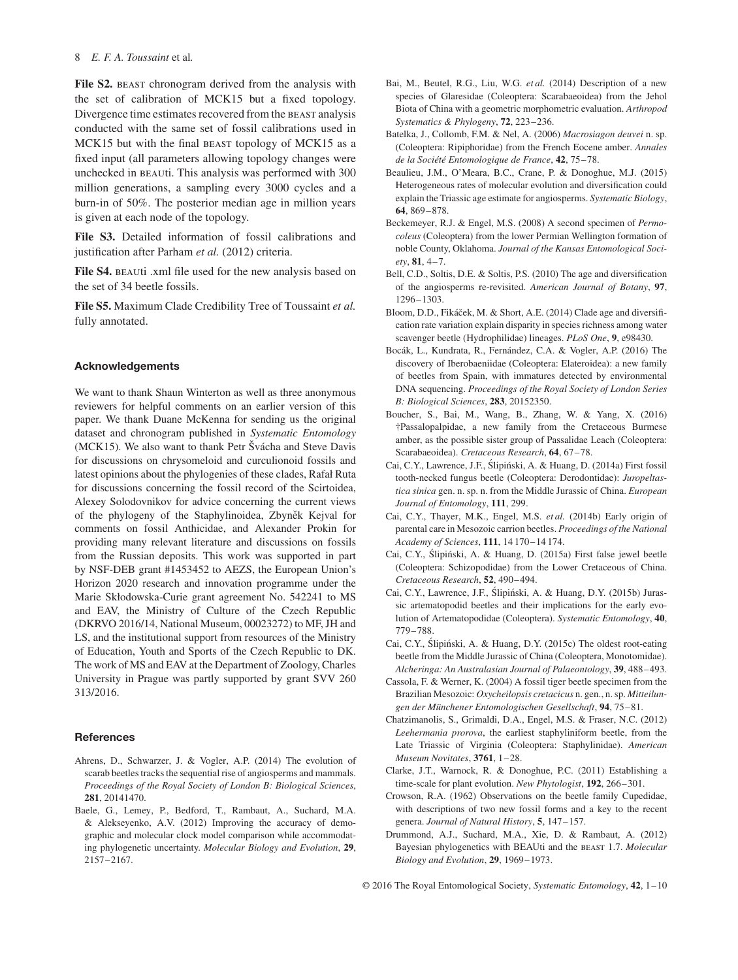File S2. BEAST chronogram derived from the analysis with the set of calibration of MCK15 but a fixed topology. Divergence time estimates recovered from the BEAST analysis conducted with the same set of fossil calibrations used in MCK15 but with the final beast topology of MCK15 as a fixed input (all parameters allowing topology changes were unchecked in beauti. This analysis was performed with 300 million generations, a sampling every 3000 cycles and a burn-in of 50%. The posterior median age in million years is given at each node of the topology.

**File S3.** Detailed information of fossil calibrations and justification after Parham *et al.* (2012) criteria.

File S4. BEAUti .xml file used for the new analysis based on the set of 34 beetle fossils.

**File S5.** Maximum Clade Credibility Tree of Toussaint *et al.* fully annotated.

## **Acknowledgements**

We want to thank Shaun Winterton as well as three anonymous reviewers for helpful comments on an earlier version of this paper. We thank Duane McKenna for sending us the original dataset and chronogram published in *Systematic Entomology* (MCK15). We also want to thank Petr Švácha and Steve Davis for discussions on chrysomeloid and curculionoid fossils and latest opinions about the phylogenies of these clades, Rafał Ruta for discussions concerning the fossil record of the Scirtoidea, Alexey Solodovnikov for advice concerning the current views of the phylogeny of the Staphylinoidea, Zbyněk Kejval for comments on fossil Anthicidae, and Alexander Prokin for providing many relevant literature and discussions on fossils from the Russian deposits. This work was supported in part by NSF-DEB grant #1453452 to AEZS, the European Union's Horizon 2020 research and innovation programme under the Marie Skłodowska-Curie grant agreement No. 542241 to MS and EAV, the Ministry of Culture of the Czech Republic (DKRVO 2016/14, National Museum, 00023272) to MF, JH and LS, and the institutional support from resources of the Ministry of Education, Youth and Sports of the Czech Republic to DK. The work of MS and EAV at the Department of Zoology, Charles University in Prague was partly supported by grant SVV 260 313/2016.

#### **References**

- Ahrens, D., Schwarzer, J. & Vogler, A.P. (2014) The evolution of scarab beetles tracks the sequential rise of angiosperms and mammals. *Proceedings of the Royal Society of London B: Biological Sciences*, **281**, 20141470.
- Baele, G., Lemey, P., Bedford, T., Rambaut, A., Suchard, M.A. & Alekseyenko, A.V. (2012) Improving the accuracy of demographic and molecular clock model comparison while accommodating phylogenetic uncertainty. *Molecular Biology and Evolution*, **29**, 2157–2167.
- Bai, M., Beutel, R.G., Liu, W.G. *et al.* (2014) Description of a new species of Glaresidae (Coleoptera: Scarabaeoidea) from the Jehol Biota of China with a geometric morphometric evaluation. *Arthropod Systematics & Phylogeny*, **72**, 223–236.
- Batelka, J., Collomb, F.M. & Nel, A. (2006) *Macrosiagon deuvei* n. sp. (Coleoptera: Ripiphoridae) from the French Eocene amber. *Annales de la Société Entomologique de France*, **42**, 75–78.
- Beaulieu, J.M., O'Meara, B.C., Crane, P. & Donoghue, M.J. (2015) Heterogeneous rates of molecular evolution and diversification could explain the Triassic age estimate for angiosperms. *Systematic Biology*, **64**, 869–878.
- Beckemeyer, R.J. & Engel, M.S. (2008) A second specimen of *Permocoleus* (Coleoptera) from the lower Permian Wellington formation of noble County, Oklahoma. *Journal of the Kansas Entomological Society*, **81**, 4–7.
- Bell, C.D., Soltis, D.E. & Soltis, P.S. (2010) The age and diversification of the angiosperms re-revisited. *American Journal of Botany*, **97**, 1296–1303.
- Bloom, D.D., Fikáček, M. & Short, A.E. (2014) Clade age and diversification rate variation explain disparity in species richness among water scavenger beetle (Hydrophilidae) lineages. *PLoS One*, **9**, e98430.
- Bocák, L., Kundrata, R., Fernández, C.A. & Vogler, A.P. (2016) The discovery of Iberobaeniidae (Coleoptera: Elateroidea): a new family of beetles from Spain, with immatures detected by environmental DNA sequencing. *Proceedings of the Royal Society of London Series B: Biological Sciences*, **283**, 20152350.
- Boucher, S., Bai, M., Wang, B., Zhang, W. & Yang, X. (2016) †Passalopalpidae, a new family from the Cretaceous Burmese amber, as the possible sister group of Passalidae Leach (Coleoptera: Scarabaeoidea). *Cretaceous Research*, **64**, 67–78.
- Cai, C.Y., Lawrence, J.F., Ślipiński, A. & Huang, D. (2014a) First fossil tooth-necked fungus beetle (Coleoptera: Derodontidae): *Juropeltastica sinica* gen. n. sp. n. from the Middle Jurassic of China. *European Journal of Entomology*, **111**, 299.
- Cai, C.Y., Thayer, M.K., Engel, M.S. *et al.* (2014b) Early origin of parental care in Mesozoic carrion beetles. *Proceedings of the National Academy of Sciences*, **111**, 14 170–14 174.
- Cai, C.Y., Ślipiński, A. & Huang, D. (2015a) First false jewel beetle (Coleoptera: Schizopodidae) from the Lower Cretaceous of China. *Cretaceous Research*, **52**, 490–494.
- Cai, C.Y., Lawrence, J.F., Ślipiński, A. & Huang, D.Y. (2015b) Jurassic artematopodid beetles and their implications for the early evolution of Artematopodidae (Coleoptera). *Systematic Entomology*, **40**, 779–788.
- Cai, C.Y., Ślipiński, A. & Huang, D.Y. (2015c) The oldest root-eating beetle from the Middle Jurassic of China (Coleoptera, Monotomidae). *Alcheringa: An Australasian Journal of Palaeontology*, **39**, 488–493.
- Cassola, F. & Werner, K. (2004) A fossil tiger beetle specimen from the Brazilian Mesozoic: *Oxycheilopsis cretacicus* n. gen., n. sp. *Mitteilungen der Münchener Entomologischen Gesellschaft*, **94**, 75–81.
- Chatzimanolis, S., Grimaldi, D.A., Engel, M.S. & Fraser, N.C. (2012) *Leehermania prorova*, the earliest staphyliniform beetle, from the Late Triassic of Virginia (Coleoptera: Staphylinidae). *American Museum Novitates*, **3761**, 1–28.
- Clarke, J.T., Warnock, R. & Donoghue, P.C. (2011) Establishing a time-scale for plant evolution. *New Phytologist*, **192**, 266–301.
- Crowson, R.A. (1962) Observations on the beetle family Cupedidae, with descriptions of two new fossil forms and a key to the recent genera. *Journal of Natural History*, **5**, 147–157.
- Drummond, A.J., Suchard, M.A., Xie, D. & Rambaut, A. (2012) Bayesian phylogenetics with BEAUti and the beast 1.7. *Molecular Biology and Evolution*, **29**, 1969–1973.

© 2016 The Royal Entomological Society, *Systematic Entomology*, **42**, 1–10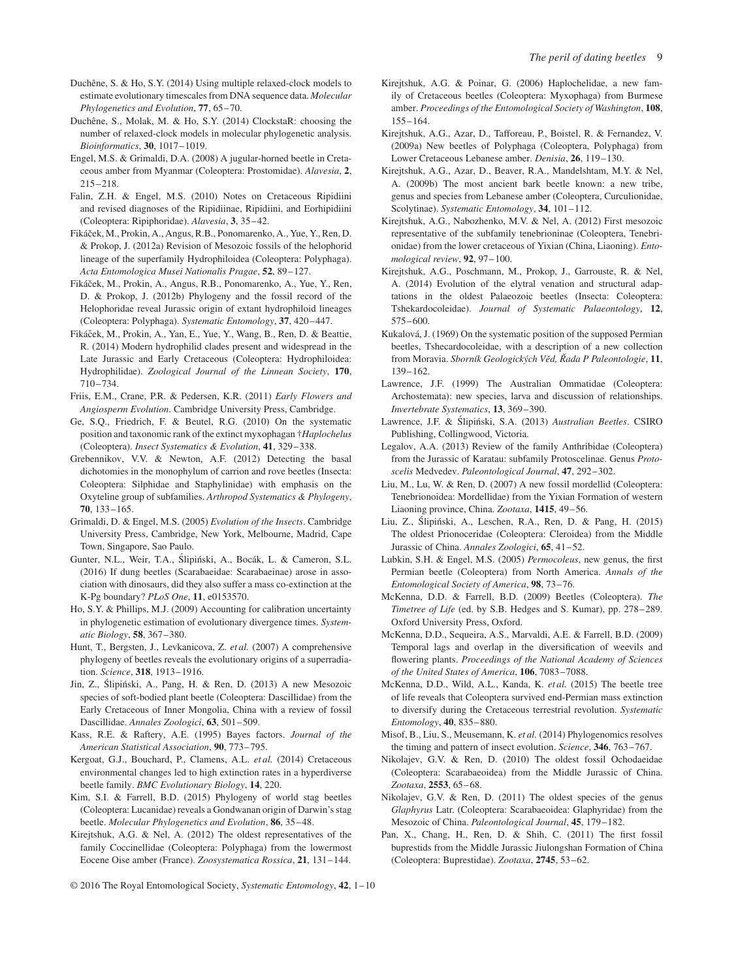- Duchêne, S. & Ho, S.Y. (2014) Using multiple relaxed-clock models to estimate evolutionary timescales from DNA sequence data. *Molecular Phylogenetics and Evolution*, **77**, 65–70.
- Duchêne, S., Molak, M. & Ho, S.Y. (2014) ClockstaR: choosing the number of relaxed-clock models in molecular phylogenetic analysis. *Bioinformatics*, **30**, 1017–1019.
- Engel, M.S. & Grimaldi, D.A. (2008) A jugular-horned beetle in Cretaceous amber from Myanmar (Coleoptera: Prostomidae). *Alavesia*, **2**, 215–218.
- Falin, Z.H. & Engel, M.S. (2010) Notes on Cretaceous Ripidiini and revised diagnoses of the Ripidiinae, Ripidiini, and Eorhipidiini (Coleoptera: Ripiphoridae). *Alavesia*, **3**, 35–42.
- Fikáček, M., Prokin, A., Angus, R.B., Ponomarenko, A., Yue, Y., Ren, D. & Prokop, J. (2012a) Revision of Mesozoic fossils of the helophorid lineage of the superfamily Hydrophiloidea (Coleoptera: Polyphaga). *Acta Entomologica Musei Nationalis Pragae*, **52**, 89–127.
- Fikáček, M., Prokin, A., Angus, R.B., Ponomarenko, A., Yue, Y., Ren, D. & Prokop, J. (2012b) Phylogeny and the fossil record of the Helophoridae reveal Jurassic origin of extant hydrophiloid lineages (Coleoptera: Polyphaga). *Systematic Entomology*, **37**, 420–447.
- Fikáček, M., Prokin, A., Yan, E., Yue, Y., Wang, B., Ren, D. & Beattie, R. (2014) Modern hydrophilid clades present and widespread in the Late Jurassic and Early Cretaceous (Coleoptera: Hydrophiloidea: Hydrophilidae). *Zoological Journal of the Linnean Society*, **170**, 710–734.
- Friis, E.M., Crane, P.R. & Pedersen, K.R. (2011) *Early Flowers and Angiosperm Evolution*. Cambridge University Press, Cambridge.
- Ge, S.Q., Friedrich, F. & Beutel, R.G. (2010) On the systematic position and taxonomic rank of the extinct myxophagan †*Haplochelus* (Coleoptera). *Insect Systematics & Evolution*, **41**, 329–338.
- Grebennikov, V.V. & Newton, A.F. (2012) Detecting the basal dichotomies in the monophylum of carrion and rove beetles (Insecta: Coleoptera: Silphidae and Staphylinidae) with emphasis on the Oxyteline group of subfamilies. *Arthropod Systematics & Phylogeny*, **70**, 133–165.
- Grimaldi, D. & Engel, M.S. (2005) *Evolution of the Insects*. Cambridge University Press, Cambridge, New York, Melbourne, Madrid, Cape Town, Singapore, Sao Paulo.
- Gunter, N.L., Weir, T.A., Ślipiński, A., Bocák, L. & Cameron, S.L. (2016) If dung beetles (Scarabaeidae: Scarabaeinae) arose in association with dinosaurs, did they also suffer a mass co-extinction at the K-Pg boundary? *PLoS One*, **11**, e0153570.
- Ho, S.Y. & Phillips, M.J. (2009) Accounting for calibration uncertainty in phylogenetic estimation of evolutionary divergence times. *Systematic Biology*, **58**, 367–380.
- Hunt, T., Bergsten, J., Levkanicova, Z. *et al.* (2007) A comprehensive phylogeny of beetles reveals the evolutionary origins of a superradiation. *Science*, **318**, 1913–1916.
- Jin, Z., Ślipiński, A., Pang, H. & Ren, D. (2013) A new Mesozoic species of soft-bodied plant beetle (Coleoptera: Dascillidae) from the Early Cretaceous of Inner Mongolia, China with a review of fossil Dascillidae. *Annales Zoologici*, **63**, 501–509.
- Kass, R.E. & Raftery, A.E. (1995) Bayes factors. *Journal of the American Statistical Association*, **90**, 773–795.
- Kergoat, G.J., Bouchard, P., Clamens, A.L. *et al.* (2014) Cretaceous environmental changes led to high extinction rates in a hyperdiverse beetle family. *BMC Evolutionary Biology*, **14**, 220.
- Kim, S.I. & Farrell, B.D. (2015) Phylogeny of world stag beetles (Coleoptera: Lucanidae) reveals a Gondwanan origin of Darwin's stag beetle. *Molecular Phylogenetics and Evolution*, **86**, 35–48.
- Kirejtshuk, A.G. & Nel, A. (2012) The oldest representatives of the family Coccinellidae (Coleoptera: Polyphaga) from the lowermost Eocene Oise amber (France). *Zoosystematica Rossica*, **21**, 131–144.
- Kirejtshuk, A.G. & Poinar, G. (2006) Haplochelidae, a new family of Cretaceous beetles (Coleoptera: Myxophaga) from Burmese amber. *Proceedings of the Entomological Society of Washington*, **108**, 155–164.
- Kirejtshuk, A.G., Azar, D., Tafforeau, P., Boistel, R. & Fernandez, V. (2009a) New beetles of Polyphaga (Coleoptera, Polyphaga) from Lower Cretaceous Lebanese amber. *Denisia*, **26**, 119–130.
- Kirejtshuk, A.G., Azar, D., Beaver, R.A., Mandelshtam, M.Y. & Nel, A. (2009b) The most ancient bark beetle known: a new tribe, genus and species from Lebanese amber (Coleoptera, Curculionidae, Scolytinae). *Systematic Entomology*, **34**, 101–112.
- Kirejtshuk, A.G., Nabozhenko, M.V. & Nel, A. (2012) First mesozoic representative of the subfamily tenebrioninae (Coleoptera, Tenebrionidae) from the lower cretaceous of Yixian (China, Liaoning). *Entomological review*, **92**, 97–100.
- Kirejtshuk, A.G., Poschmann, M., Prokop, J., Garrouste, R. & Nel, A. (2014) Evolution of the elytral venation and structural adaptations in the oldest Palaeozoic beetles (Insecta: Coleoptera: Tshekardocoleidae). *Journal of Systematic Palaeontology*, **12**, 575–600.
- Kukalová, J. (1969) On the systematic position of the supposed Permian beetles, Tshecardocoleidae, with a description of a new collection from Moravia. *Sborník Geologickych V ´ ed, ˇ Rada P Paleontologie ˇ* , **11**, 139–162.
- Lawrence, J.F. (1999) The Australian Ommatidae (Coleoptera: Archostemata): new species, larva and discussion of relationships. *Invertebrate Systematics*, **13**, 369–390.
- Lawrence, J.F. & Ślipiński, S.A. (2013) *Australian Beetles*. CSIRO Publishing, Collingwood, Victoria.
- Legalov, A.A. (2013) Review of the family Anthribidae (Coleoptera) from the Jurassic of Karatau: subfamily Protoscelinae. Genus *Protoscelis* Medvedev. *Paleontological Journal*, **47**, 292–302.
- Liu, M., Lu, W. & Ren, D. (2007) A new fossil mordellid (Coleoptera: Tenebrionoidea: Mordellidae) from the Yixian Formation of western Liaoning province, China. *Zootaxa*, **1415**, 49–56.
- Liu, Z., Ślipiński, A., Leschen, R.A., Ren, D. & Pang, H. (2015) The oldest Prionoceridae (Coleoptera: Cleroidea) from the Middle Jurassic of China. *Annales Zoologici*, **65**, 41–52.
- Lubkin, S.H. & Engel, M.S. (2005) *Permocoleus*, new genus, the first Permian beetle (Coleoptera) from North America. *Annals of the Entomological Society of America*, **98**, 73–76.
- McKenna, D.D. & Farrell, B.D. (2009) Beetles (Coleoptera). *The Timetree of Life* (ed. by S.B. Hedges and S. Kumar), pp. 278–289. Oxford University Press, Oxford.
- McKenna, D.D., Sequeira, A.S., Marvaldi, A.E. & Farrell, B.D. (2009) Temporal lags and overlap in the diversification of weevils and flowering plants. *Proceedings of the National Academy of Sciences of the United States of America*, **106**, 7083–7088.
- McKenna, D.D., Wild, A.L., Kanda, K. *et al.* (2015) The beetle tree of life reveals that Coleoptera survived end-Permian mass extinction to diversify during the Cretaceous terrestrial revolution. *Systematic Entomology*, **40**, 835–880.
- Misof, B., Liu, S., Meusemann, K. *et al.* (2014) Phylogenomics resolves the timing and pattern of insect evolution. *Science*, **346**, 763–767.
- Nikolajev, G.V. & Ren, D. (2010) The oldest fossil Ochodaeidae (Coleoptera: Scarabaeoidea) from the Middle Jurassic of China. *Zootaxa*, **2553**, 65–68.
- Nikolajev, G.V. & Ren, D. (2011) The oldest species of the genus *Glaphyrus* Latr. (Coleoptera: Scarabaeoidea: Glaphyridae) from the Mesozoic of China. *Paleontological Journal*, **45**, 179–182.
- Pan, X., Chang, H., Ren, D. & Shih, C. (2011) The first fossil buprestids from the Middle Jurassic Jiulongshan Formation of China (Coleoptera: Buprestidae). *Zootaxa*, **2745**, 53–62.
- © 2016 The Royal Entomological Society, *Systematic Entomology*, **42**, 1–10